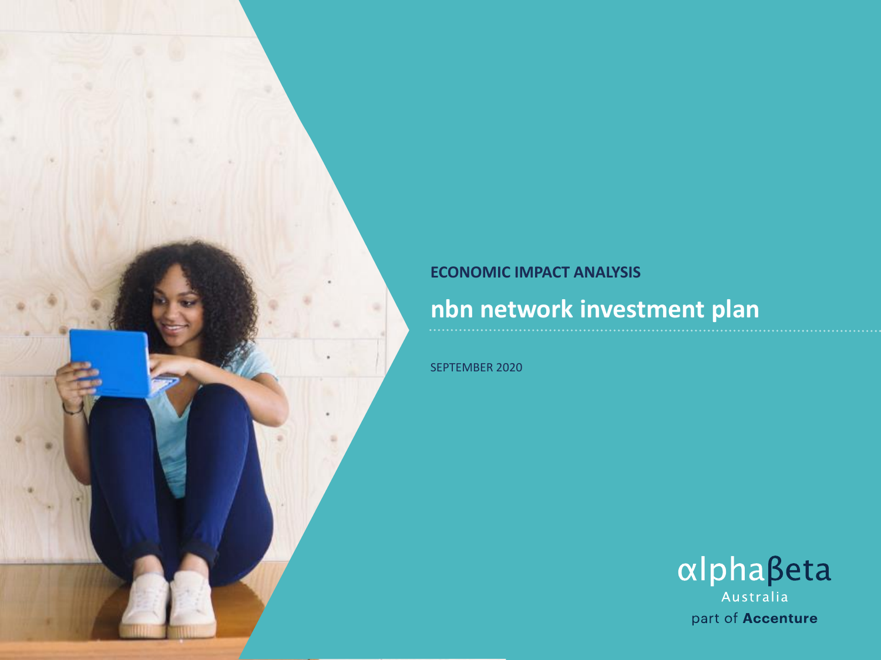#### **ECONOMIC IMPACT ANALYSIS**

## nbn network investment plan

SEPTEMBER 2020

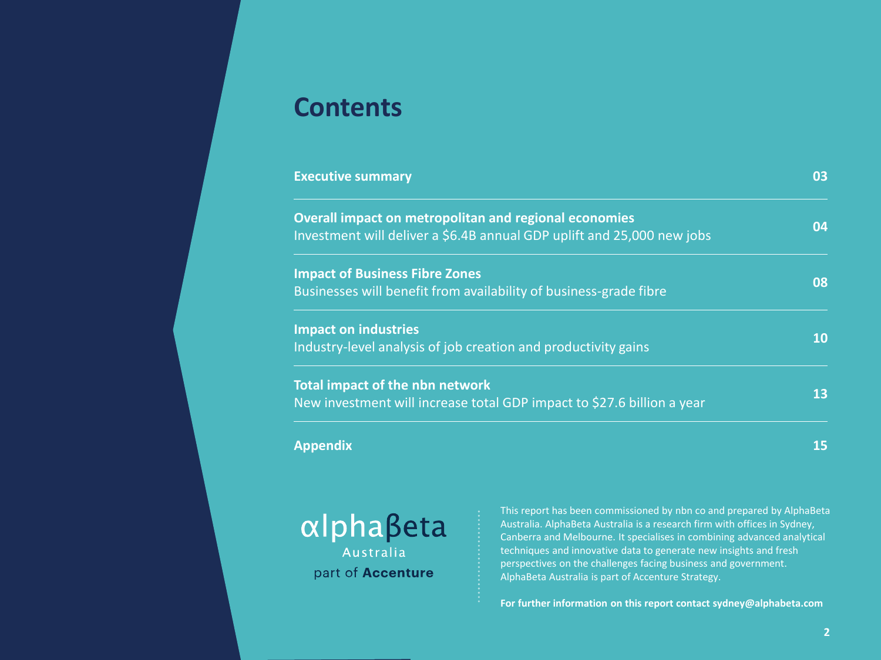## **Contents**

| <b>Executive summary</b>                                                                                                               | 03 |
|----------------------------------------------------------------------------------------------------------------------------------------|----|
| <b>Overall impact on metropolitan and regional economies</b><br>Investment will deliver a \$6.4B annual GDP uplift and 25,000 new jobs | 04 |
| <b>Impact of Business Fibre Zones</b><br>Businesses will benefit from availability of business-grade fibre                             | 08 |
| <b>Impact on industries</b><br>Industry-level analysis of job creation and productivity gains                                          | 10 |
| <b>Total impact of the nbn network</b><br>New investment will increase total GDP impact to \$27.6 billion a year                       | 13 |
| Appendix                                                                                                                               | 15 |



This report has been commissioned by nbn co and prepared by AlphaBeta Australia. AlphaBeta Australia is a research firm with offices in Sydney, Canberra and Melbourne. It specialises in combining advanced analytical techniques and innovative data to generate new insights and fresh perspectives on the challenges facing business and government. AlphaBeta Australia is part of Accenture Strategy.

**For further information on this report contact sydney@alphabeta.com**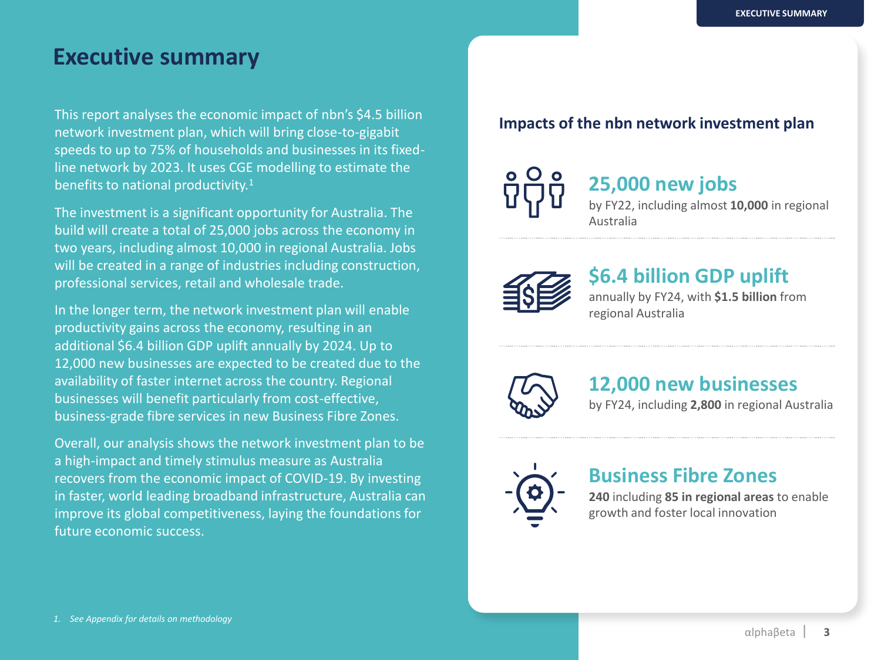#### **Executive summary**

This report analyses the economic impact of nbn's \$4.5 billion network investment plan, which will bring close-to-gigabit speeds to up to 75% of households and businesses in its fixedline network by 2023. It uses CGE modelling to estimate the benefits to national productivity.<sup>1</sup>

The investment is a significant opportunity for Australia. The build will create a total of 25,000 jobs across the economy in two years, including almost 10,000 in regional Australia. Jobs will be created in a range of industries including construction, professional services, retail and wholesale trade.

In the longer term, the network investment plan will enable productivity gains across the economy, resulting in an additional \$6.4 billion GDP uplift annually by 2024. Up to 12,000 new businesses are expected to be created due to the availability of faster internet across the country. Regional businesses will benefit particularly from cost-effective, business-grade fibre services in new Business Fibre Zones.

Overall, our analysis shows the network investment plan to be a high-impact and timely stimulus measure as Australia recovers from the economic impact of COVID-19. By investing in faster, world leading broadband infrastructure, Australia can improve its global competitiveness, laying the foundations for future economic success.

#### **Impacts of the nbn network investment plan**

## **25,000 new jobs**

by FY22, including almost **10,000** in regional Australia



#### **\$6.4 billion GDP uplift**

annually by FY24, with **\$1.5 billion** from regional Australia



#### **12,000 new businesses**

by FY24, including **2,800** in regional Australia



#### **Business Fibre Zones**

**240** including **85 in regional areas** to enable growth and foster local innovation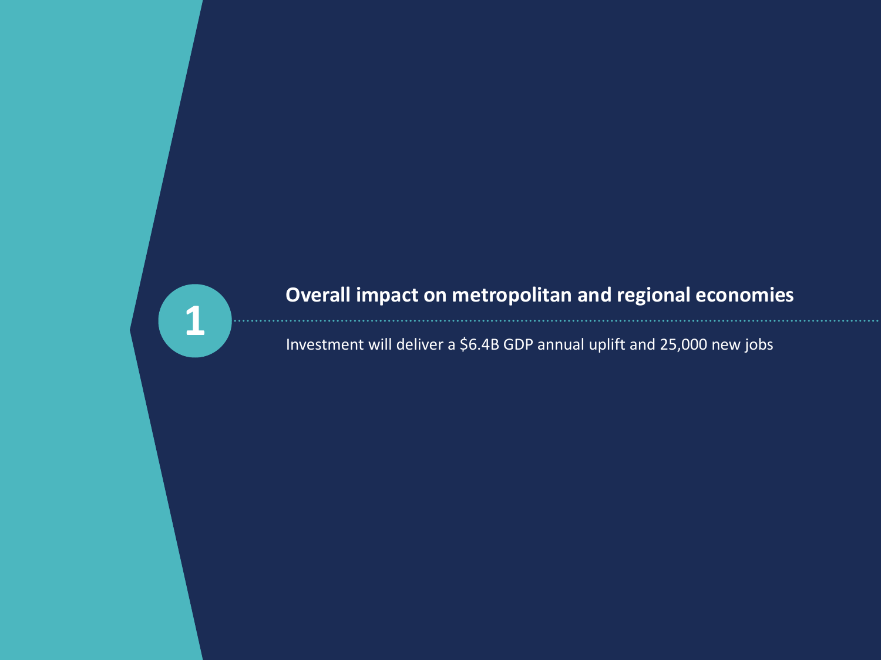

## **Overall impact on metropolitan and regional economies**

Investment will deliver a \$6.4B GDP annual uplift and 25,000 new jobs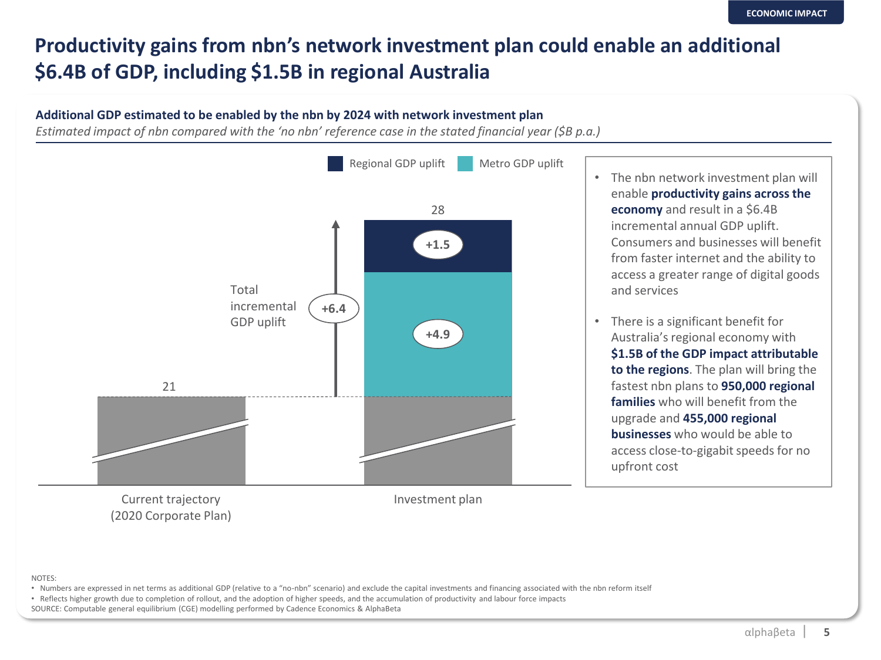## **Productivity gains from nbn's network investment plan could enable an additional \$6.4B of GDP, including \$1.5B in regional Australia**

#### **Additional GDP estimated to be enabled by the nbn by 2024 with network investment plan**

*Estimated impact of nbn compared with the 'no nbn' reference case in the stated financial year (\$B p.a.)*



#### NOTES:

- Numbers are expressed in net terms as additional GDP (relative to a "no-nbn" scenario) and exclude the capital investments and financing associated with the nbn reform itself
- Reflects higher growth due to completion of rollout, and the adoption of higher speeds, and the accumulation of productivity and labour force impacts
- SOURCE: Computable general equilibrium (CGE) modelling performed by Cadence Economics & AlphaBeta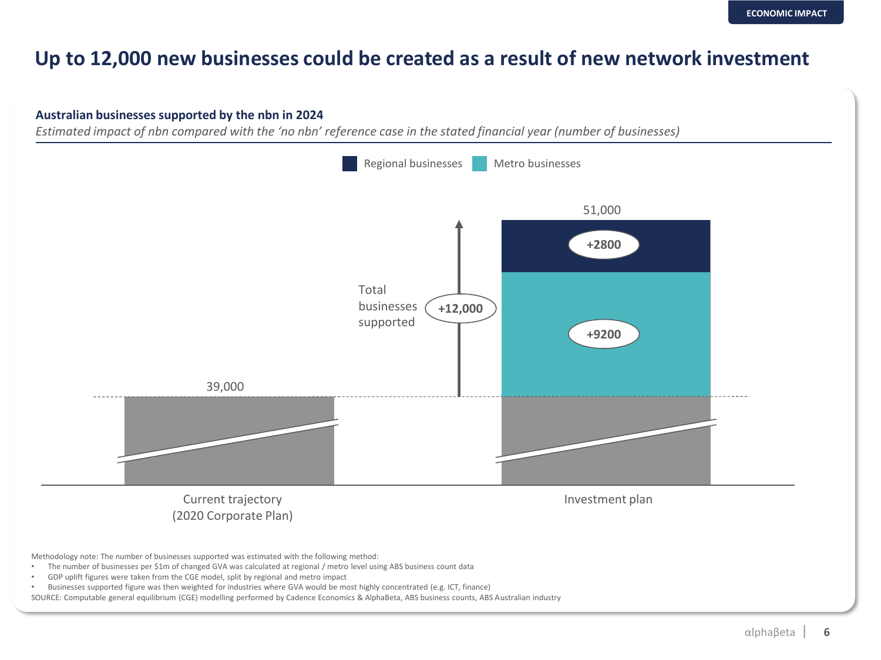#### **Up to 12,000 new businesses could be created as a result of new network investment**

#### **Australian businesses supported by the nbn in 2024**

*Estimated impact of nbn compared with the 'no nbn' reference case in the stated financial year (number of businesses)*



• Businesses supported figure was then weighted for industries where GVA would be most highly concentrated (e.g. ICT, finance)

SOURCE: Computable general equilibrium (CGE) modelling performed by Cadence Economics & AlphaBeta, ABS business counts, ABS Australian industry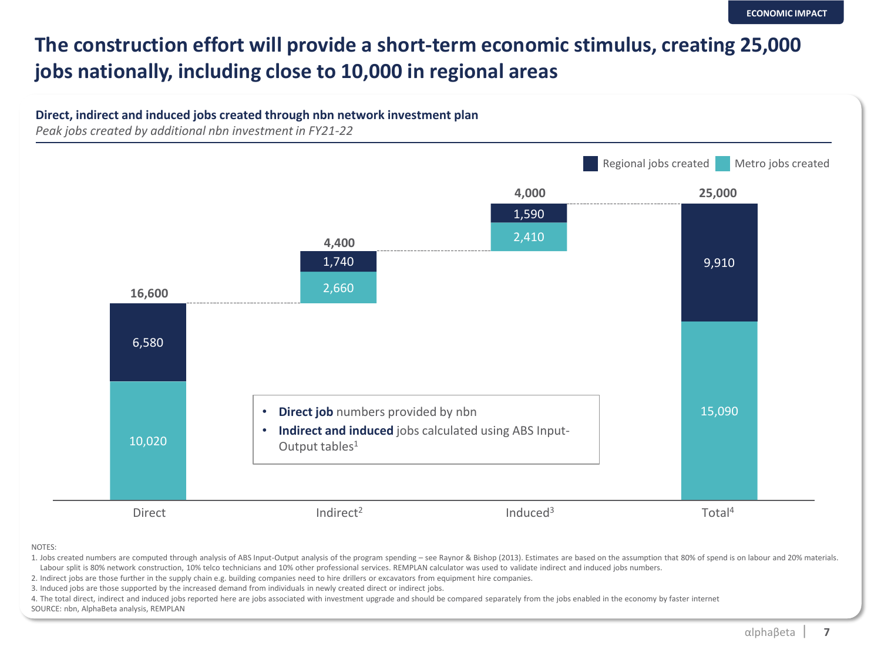## **The construction effort will provide a short-term economic stimulus, creating 25,000 jobs nationally, including close to 10,000 in regional areas**



NOTES:

1. Jobs created numbers are computed through analysis of ABS Input-Output analysis of the program spending – see Raynor & Bishop (2013). Estimates are based on the assumption that 80% of spend is on labour and 20% materials. Labour split is 80% network construction, 10% telco technicians and 10% other professional services. REMPLAN calculator was used to validate indirect and induced jobs numbers.

2. Indirect jobs are those further in the supply chain e.g. building companies need to hire drillers or excavators from equipment hire companies.

3. Induced jobs are those supported by the increased demand from individuals in newly created direct or indirect jobs.

4. The total direct, indirect and induced jobs reported here are jobs associated with investment upgrade and should be compared separately from the jobs enabled in the economy by faster internet

SOURCE: nbn, AlphaBeta analysis, REMPLAN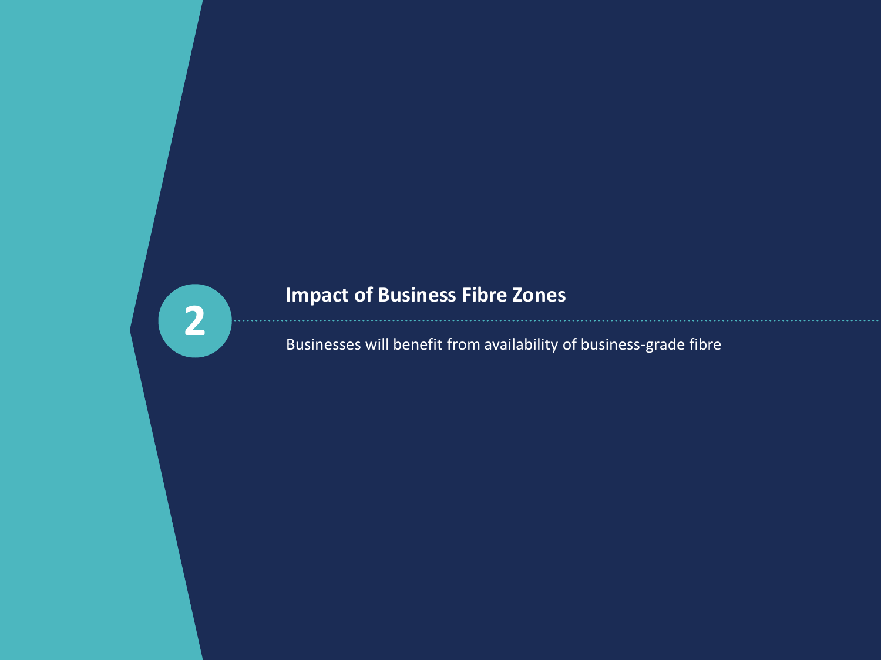# **2**

## **Impact of Business Fibre Zones**

Businesses will benefit from availability of business-grade fibre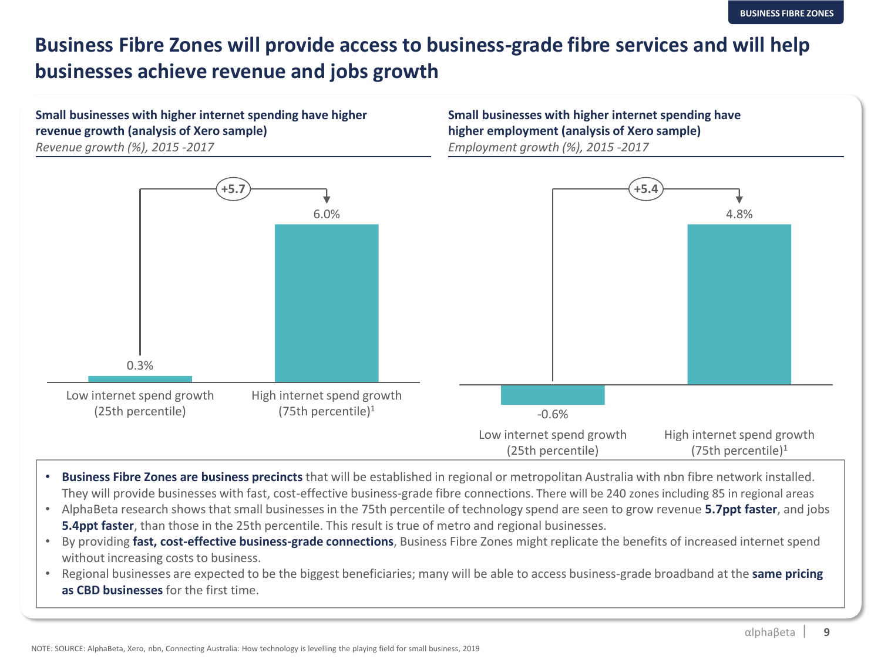#### **Business Fibre Zones will provide access to business-grade fibre services and will help businesses achieve revenue and jobs growth**

#### **Small businesses with higher internet spending have higher revenue growth (analysis of Xero sample)**

*Revenue growth (%), 2015 -2017*

**Small businesses with higher internet spending have higher employment (analysis of Xero sample)** *Employment growth (%), 2015 -2017*



- **Business Fibre Zones are business precincts** that will be established in regional or metropolitan Australia with nbn fibre network installed. They will provide businesses with fast, cost-effective business-grade fibre connections. There will be 240 zones including 85 in regional areas
- AlphaBeta research shows that small businesses in the 75th percentile of technology spend are seen to grow revenue **5.7ppt faster**, and jobs **5.4ppt faster**, than those in the 25th percentile. This result is true of metro and regional businesses.
- By providing **fast, cost-effective business-grade connections**, Business Fibre Zones might replicate the benefits of increased internet spend without increasing costs to business.
- Regional businesses are expected to be the biggest beneficiaries; many will be able to access business-grade broadband at the **same pricing as CBD businesses** for the first time.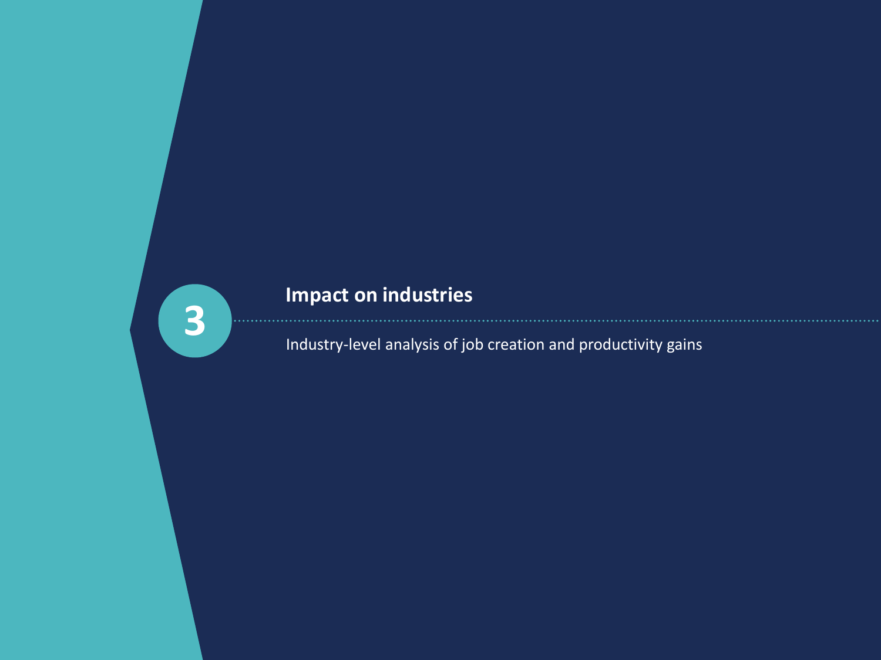## **3**

## **Impact on industries**

Industry-level analysis of job creation and productivity gains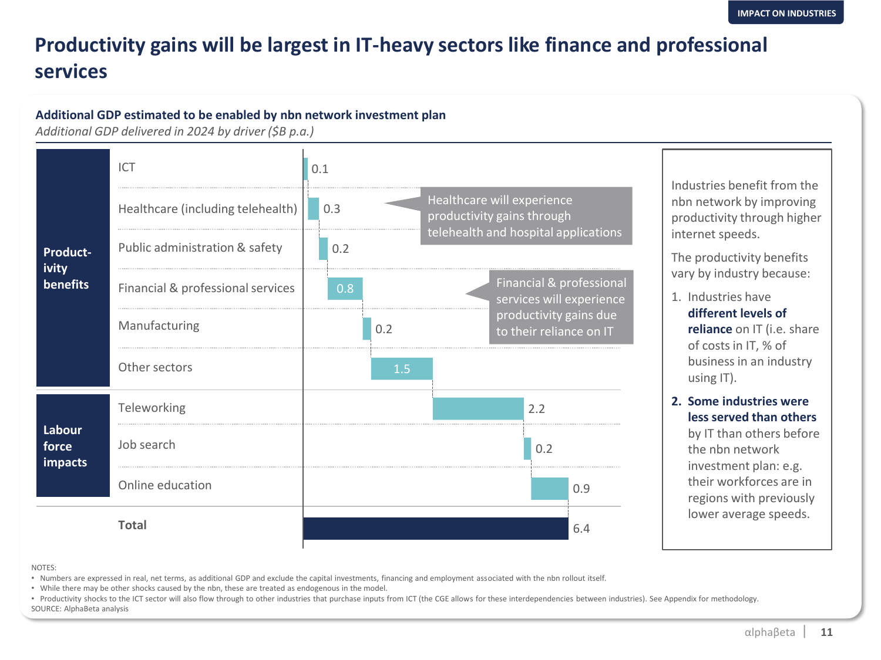### **Productivity gains will be largest in IT-heavy sectors like finance and professional services**

#### **Additional GDP estimated to be enabled by nbn network investment plan**

*Additional GDP delivered in 2024 by driver (\$B p.a.)*



NOTES:

• Numbers are expressed in real, net terms, as additional GDP and exclude the capital investments, financing and employment associated with the nbn rollout itself.

• While there may be other shocks caused by the nbn, these are treated as endogenous in the model.

• Productivity shocks to the ICT sector will also flow through to other industries that purchase inputs from ICT (the CGE allows for these interdependencies between industries). See Appendix for methodology. SOURCE: AlphaBeta analysis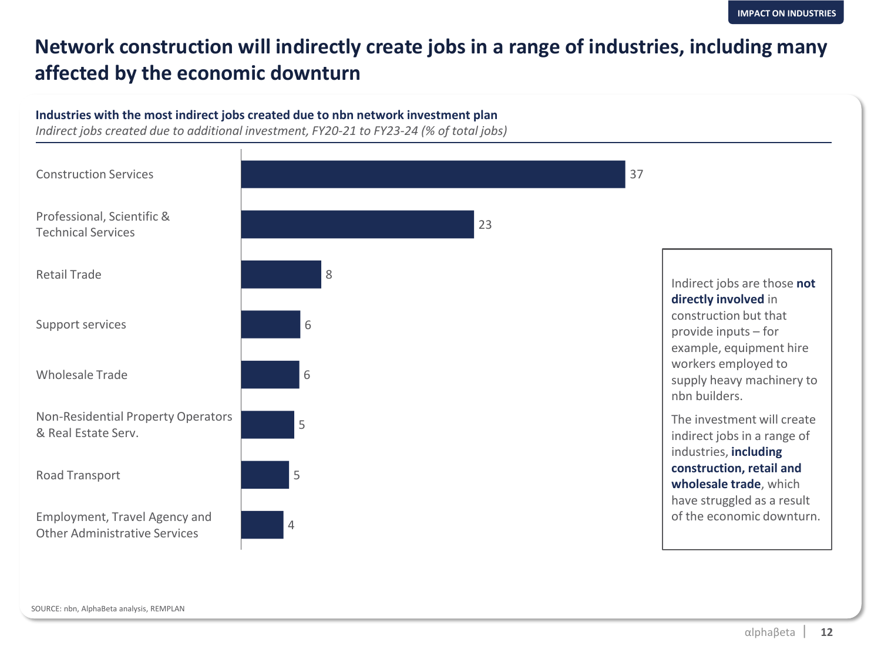#### **Network construction will indirectly create jobs in a range of industries, including many affected by the economic downturn**

#### **Industries with the most indirect jobs created due to nbn network investment plan**

*Indirect jobs created due to additional investment, FY20-21 to FY23-24 (% of total jobs)*

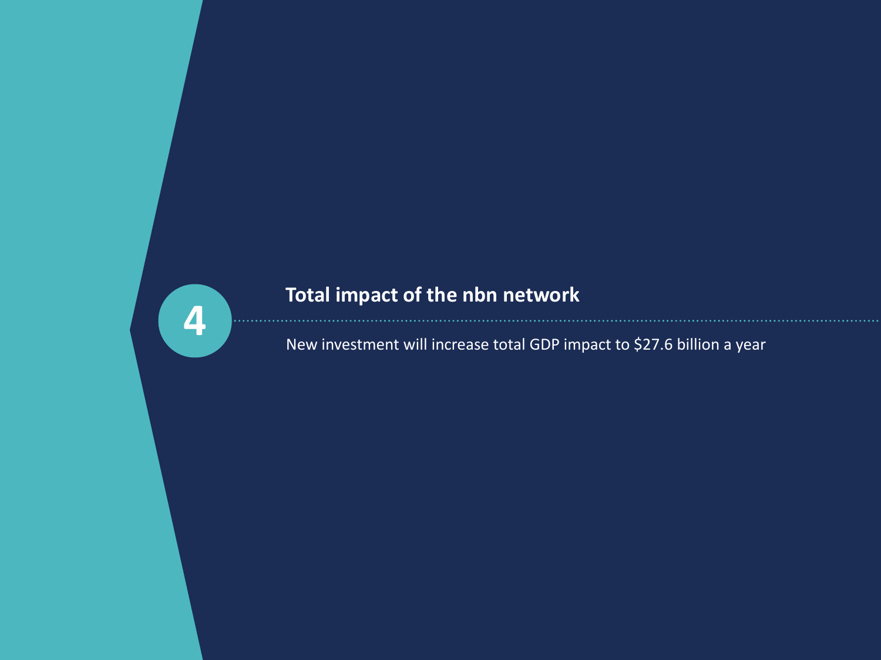

## **Total impact of the nbn network**

New investment will increase total GDP impact to \$27.6 billion a year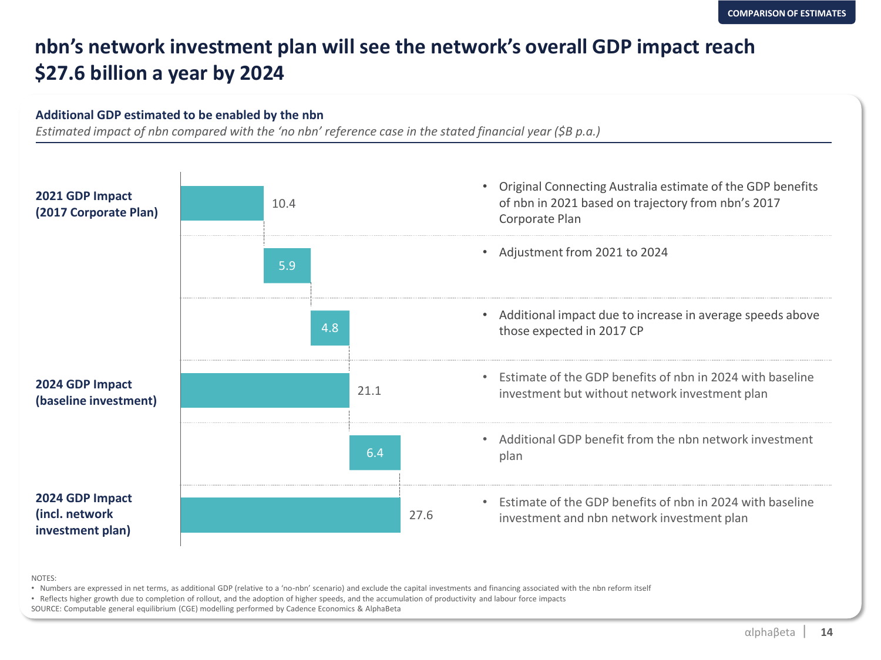#### **nbn's network investment plan will see the network's overall GDP impact reach \$27.6 billion a year by 2024**

#### **Additional GDP estimated to be enabled by the nbn**

*Estimated impact of nbn compared with the 'no nbn' reference case in the stated financial year (\$B p.a.)*



NOTES:

• Numbers are expressed in net terms, as additional GDP (relative to a 'no-nbn' scenario) and exclude the capital investments and financing associated with the nbn reform itself

• Reflects higher growth due to completion of rollout, and the adoption of higher speeds, and the accumulation of productivity and labour force impacts

SOURCE: Computable general equilibrium (CGE) modelling performed by Cadence Economics & AlphaBeta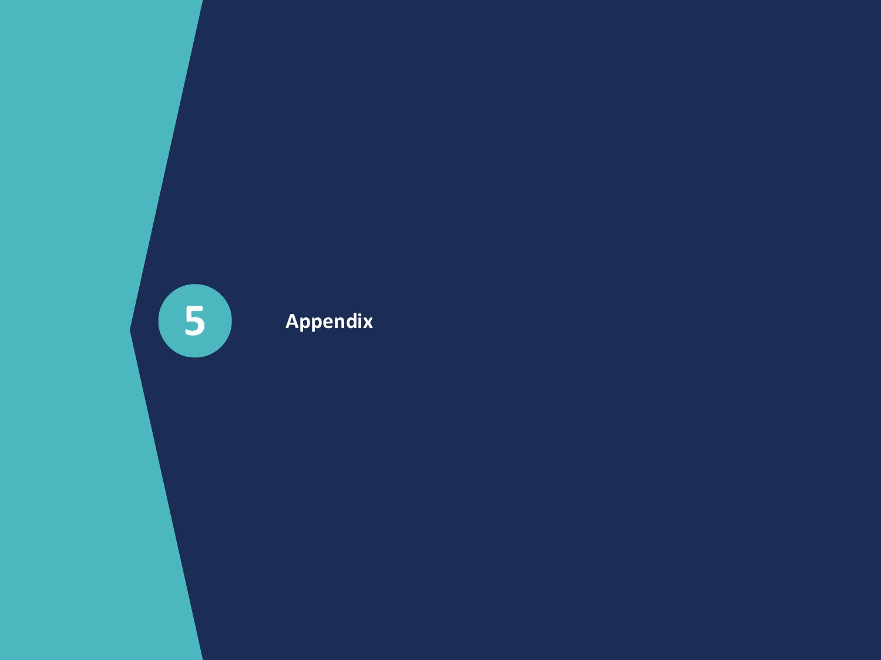S Appendix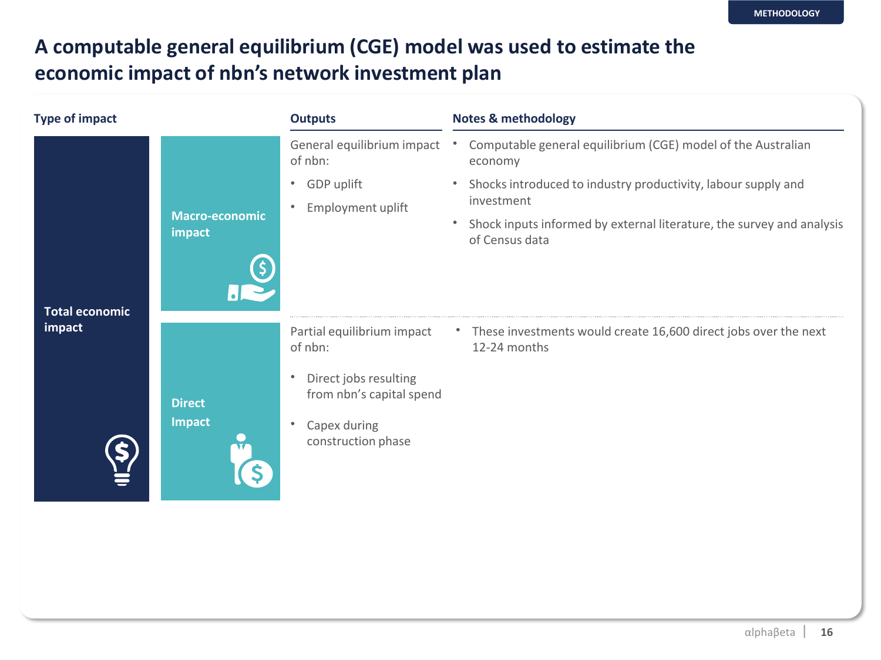### **A computable general equilibrium (CGE) model was used to estimate the economic impact of nbn's network investment plan**

| <b>Type of impact</b> |                                 | <b>Outputs</b>                                                                                                                                             | <b>Notes &amp; methodology</b>                                                                                                                                                                                                                                                           |
|-----------------------|---------------------------------|------------------------------------------------------------------------------------------------------------------------------------------------------------|------------------------------------------------------------------------------------------------------------------------------------------------------------------------------------------------------------------------------------------------------------------------------------------|
| <b>Total economic</b> | <b>Macro-economic</b><br>impact | General equilibrium impact<br>of nbn:<br>GDP uplift<br>$\bullet$<br>Employment uplift<br>$\bullet$                                                         | Computable general equilibrium (CGE) model of the Australian<br>$\bullet$<br>economy<br>Shocks introduced to industry productivity, labour supply and<br>$\bullet$<br>investment<br>Shock inputs informed by external literature, the survey and analysis<br>$\bullet$<br>of Census data |
| impact                | <b>Direct</b><br><b>Impact</b>  | Partial equilibrium impact<br>of nbn:<br>Direct jobs resulting<br>$\bullet$<br>from nbn's capital spend<br>Capex during<br>$\bullet$<br>construction phase | These investments would create 16,600 direct jobs over the next<br>12-24 months                                                                                                                                                                                                          |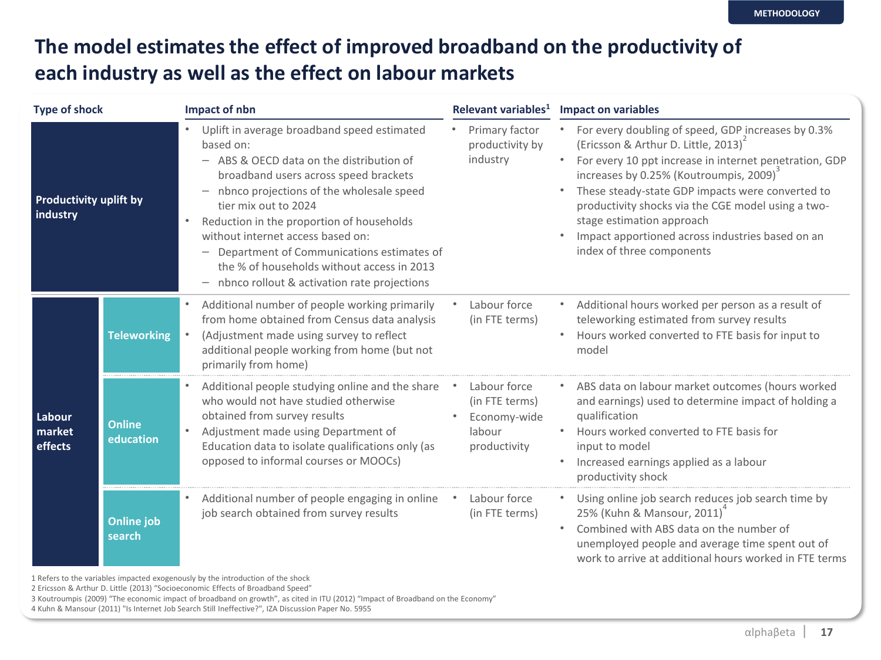#### **The model estimates the effect of improved broadband on the productivity of each industry as well as the effect on labour markets**

| <b>Type of shock</b>                      |                             | Impact of nbn                                                                                                                                                                                                                                                                                                                                                                                                                                              | Relevant variables <sup>1</sup>                                          | <b>Impact on variables</b>                                                                                                                                                                                                                                                                                                                                                                                                                                   |
|-------------------------------------------|-----------------------------|------------------------------------------------------------------------------------------------------------------------------------------------------------------------------------------------------------------------------------------------------------------------------------------------------------------------------------------------------------------------------------------------------------------------------------------------------------|--------------------------------------------------------------------------|--------------------------------------------------------------------------------------------------------------------------------------------------------------------------------------------------------------------------------------------------------------------------------------------------------------------------------------------------------------------------------------------------------------------------------------------------------------|
| <b>Productivity uplift by</b><br>industry |                             | Uplift in average broadband speed estimated<br>based on:<br>- ABS & OECD data on the distribution of<br>broadband users across speed brackets<br>nbnco projections of the wholesale speed<br>tier mix out to 2024<br>Reduction in the proportion of households<br>$\bullet$<br>without internet access based on:<br>Department of Communications estimates of<br>the % of households without access in 2013<br>nbnco rollout & activation rate projections | Primary factor<br>productivity by<br>industry                            | For every doubling of speed, GDP increases by 0.3%<br>(Ericsson & Arthur D. Little, 2013) <sup>2</sup><br>For every 10 ppt increase in internet penetration, GDP<br>$\bullet$<br>increases by 0.25% (Koutroumpis, 2009) <sup>3</sup><br>These steady-state GDP impacts were converted to<br>productivity shocks via the CGE model using a two-<br>stage estimation approach<br>Impact apportioned across industries based on an<br>index of three components |
| Labour<br>market<br>effects               | <b>Teleworking</b>          | Additional number of people working primarily<br>from home obtained from Census data analysis<br>(Adjustment made using survey to reflect<br>additional people working from home (but not<br>primarily from home)                                                                                                                                                                                                                                          | Labour force<br>(in FTE terms)                                           | Additional hours worked per person as a result of<br>٠<br>teleworking estimated from survey results<br>Hours worked converted to FTE basis for input to<br>٠<br>model                                                                                                                                                                                                                                                                                        |
|                                           | <b>Online</b><br>education  | Additional people studying online and the share<br>who would not have studied otherwise<br>obtained from survey results<br>Adjustment made using Department of<br>Education data to isolate qualifications only (as<br>opposed to informal courses or MOOCs)                                                                                                                                                                                               | Labour force<br>(in FTE terms)<br>Economy-wide<br>labour<br>productivity | ABS data on labour market outcomes (hours worked<br>$\bullet$<br>and earnings) used to determine impact of holding a<br>qualification<br>Hours worked converted to FTE basis for<br>input to model<br>Increased earnings applied as a labour<br>$\bullet$<br>productivity shock                                                                                                                                                                              |
|                                           | <b>Online job</b><br>search | Additional number of people engaging in online<br>job search obtained from survey results                                                                                                                                                                                                                                                                                                                                                                  | Labour force<br>(in FTE terms)                                           | Using online job search reduces job search time by<br>25% (Kuhn & Mansour, 2011)<br>Combined with ABS data on the number of<br>٠<br>unemployed people and average time spent out of<br>work to arrive at additional hours worked in FTE terms                                                                                                                                                                                                                |

1 Refers to the variables impacted exogenously by the introduction of the shock

2 Ericsson & Arthur D. Little (2013) "Socioeconomic Effects of Broadband Speed"

3 Koutroumpis (2009) "The economic impact of broadband on growth", as cited in ITU (2012) "Impact of Broadband on the Economy"

4 Kuhn & Mansour (2011) "Is Internet Job Search Still Ineffective?", IZA Discussion Paper No. 5955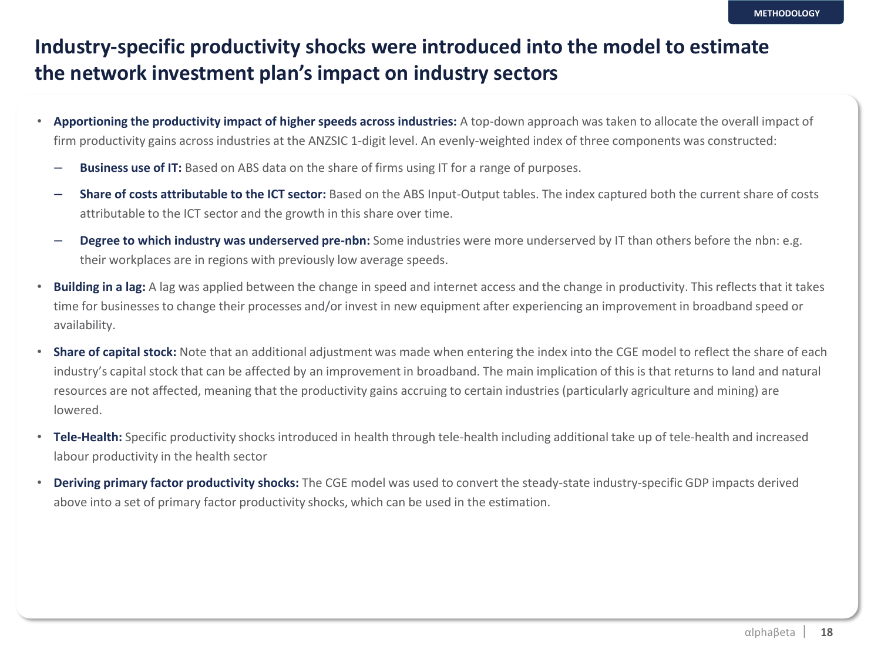#### **Industry-specific productivity shocks were introduced into the model to estimate the network investment plan's impact on industry sectors**

- **Apportioning the productivity impact of higher speeds across industries:** A top-down approach was taken to allocate the overall impact of firm productivity gains across industries at the ANZSIC 1-digit level. An evenly-weighted index of three components was constructed:
	- **Business use of IT:** Based on ABS data on the share of firms using IT for a range of purposes.
	- **Share of costs attributable to the ICT sector:** Based on the ABS Input-Output tables. The index captured both the current share of costs attributable to the ICT sector and the growth in this share over time.
	- **Degree to which industry was underserved pre-nbn:** Some industries were more underserved by IT than others before the nbn: e.g. their workplaces are in regions with previously low average speeds.
- **Building in a lag:** A lag was applied between the change in speed and internet access and the change in productivity. This reflects that it takes time for businesses to change their processes and/or invest in new equipment after experiencing an improvement in broadband speed or availability.
- **Share of capital stock:** Note that an additional adjustment was made when entering the index into the CGE model to reflect the share of each industry's capital stock that can be affected by an improvement in broadband. The main implication of this is that returns to land and natural resources are not affected, meaning that the productivity gains accruing to certain industries (particularly agriculture and mining) are lowered.
- **Tele-Health:** Specific productivity shocks introduced in health through tele-health including additional take up of tele-health and increased labour productivity in the health sector
- **Deriving primary factor productivity shocks:** The CGE model was used to convert the steady-state industry-specific GDP impacts derived above into a set of primary factor productivity shocks, which can be used in the estimation.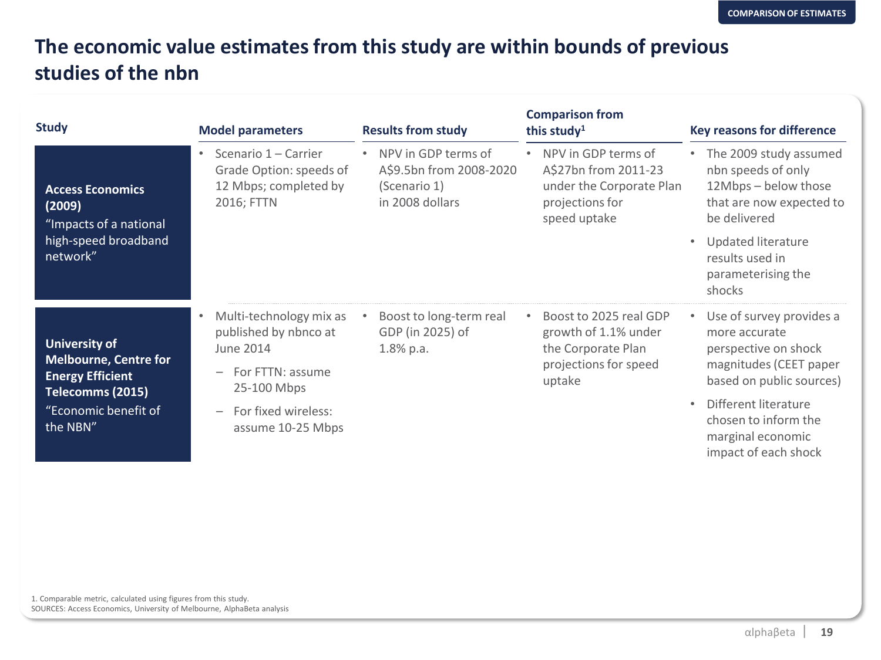#### **The economic value estimates from this study are within bounds of previous studies of the nbn**

| <b>Study</b>                                                                                    | <b>Model parameters</b>                                                                     | <b>Results from study</b>                                                         | <b>Comparison from</b><br>this study <sup>1</sup>                                                          | <b>Key reasons for difference</b>                                                                                                                                                        |
|-------------------------------------------------------------------------------------------------|---------------------------------------------------------------------------------------------|-----------------------------------------------------------------------------------|------------------------------------------------------------------------------------------------------------|------------------------------------------------------------------------------------------------------------------------------------------------------------------------------------------|
| <b>Access Economics</b><br>(2009)<br>"Impacts of a national<br>high-speed broadband<br>network" | Scenario 1 - Carrier<br>٠<br>Grade Option: speeds of<br>12 Mbps; completed by<br>2016; FTTN | NPV in GDP terms of<br>A\$9.5bn from 2008-2020<br>(Scenario 1)<br>in 2008 dollars | NPV in GDP terms of<br>A\$27bn from 2011-23<br>under the Corporate Plan<br>projections for<br>speed uptake | • The 2009 study assumed<br>nbn speeds of only<br>12Mbps - below those<br>that are now expected to<br>be delivered<br><b>Updated literature</b><br>results used in<br>parameterising the |
| <b>University of</b><br><b>Melbourne, Centre for</b>                                            | Multi-technology mix as<br>٠<br>published by nbnco at<br>June 2014                          | Boost to long-term real<br>GDP (in 2025) of<br>$1.8\%$ p.a.                       | Boost to 2025 real GDP<br>growth of 1.1% under<br>the Corporate Plan                                       | shocks<br>Use of survey provides a<br>$\bullet$<br>more accurate<br>perspective on shock                                                                                                 |
| <b>Energy Efficient</b><br>Telecomms (2015)<br>"Economic benefit of<br>the NBN"                 | For FTTN: assume<br>25-100 Mbps<br>For fixed wireless:<br>assume 10-25 Mbps                 |                                                                                   | projections for speed<br>uptake                                                                            | magnitudes (CEET paper<br>based on public sources)<br>Different literature<br>chosen to inform the<br>marginal economic<br>impact of each shock                                          |

1. Comparable metric, calculated using figures from this study. SOURCES: Access Economics, University of Melbourne, AlphaBeta analysis